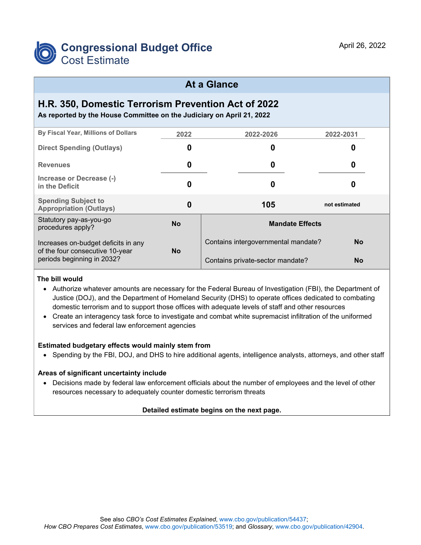

### **At a Glance**

# **H.R. 350, Domestic Terrorism Prevention Act of 2022**

**As reported by the House Committee on the Judiciary on April 21, 2022**

| By Fiscal Year, Millions of Dollars                                                                  | 2022      | 2022-2026                              | 2022-2031     |  |
|------------------------------------------------------------------------------------------------------|-----------|----------------------------------------|---------------|--|
| <b>Direct Spending (Outlays)</b>                                                                     | 0         | 0                                      | 0             |  |
| <b>Revenues</b>                                                                                      | 0         | 0                                      | 0             |  |
| Increase or Decrease (-)<br>in the Deficit                                                           | 0         | 0                                      | 0             |  |
| <b>Spending Subject to</b><br><b>Appropriation (Outlays)</b>                                         | 0         | 105                                    | not estimated |  |
| Statutory pay-as-you-go<br>procedures apply?                                                         | <b>No</b> | <b>Mandate Effects</b>                 |               |  |
| Increases on-budget deficits in any<br>of the four consecutive 10-year<br>periods beginning in 2032? | <b>No</b> | Contains intergovernmental mandate?    | <b>No</b>     |  |
|                                                                                                      |           | Contains private-sector mandate?<br>No |               |  |

#### **The bill would**

- Authorize whatever amounts are necessary for the Federal Bureau of Investigation (FBI), the Department of Justice (DOJ), and the Department of Homeland Security (DHS) to operate offices dedicated to combating domestic terrorism and to support those offices with adequate levels of staff and other resources
- Create an interagency task force to investigate and combat white supremacist infiltration of the uniformed services and federal law enforcement agencies

#### **Estimated budgetary effects would mainly stem from**

• Spending by the FBI, DOJ, and DHS to hire additional agents, intelligence analysts, attorneys, and other staff

#### **Areas of significant uncertainty include**

• Decisions made by federal law enforcement officials about the number of employees and the level of other resources necessary to adequately counter domestic terrorism threats

#### **Detailed estimate begins on the next page.**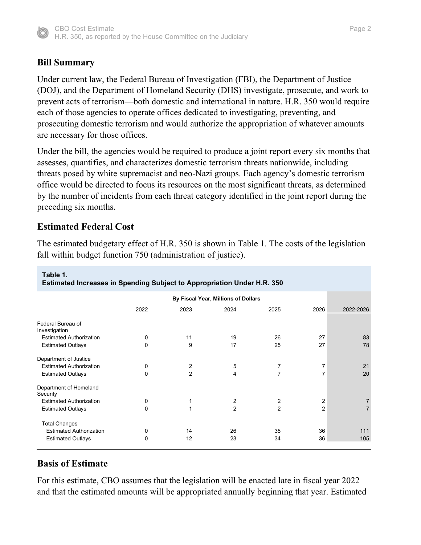

## **Bill Summary**

Under current law, the Federal Bureau of Investigation (FBI), the Department of Justice (DOJ), and the Department of Homeland Security (DHS) investigate, prosecute, and work to prevent acts of terrorism—both domestic and international in nature. H.R. 350 would require each of those agencies to operate offices dedicated to investigating, preventing, and prosecuting domestic terrorism and would authorize the appropriation of whatever amounts are necessary for those offices.

Under the bill, the agencies would be required to produce a joint report every six months that assesses, quantifies, and characterizes domestic terrorism threats nationwide, including threats posed by white supremacist and neo-Nazi groups. Each agency's domestic terrorism office would be directed to focus its resources on the most significant threats, as determined by the number of incidents from each threat category identified in the joint report during the preceding six months.

### **Estimated Federal Cost**

The estimated budgetary effect of H.R. 350 is shown in Table 1. The costs of the legislation fall within budget function 750 (administration of justice).

| Table 1.<br><b>Estimated Increases in Spending Subject to Appropriation Under H.R. 350</b> |             |                |                |                |                         |                |  |  |  |
|--------------------------------------------------------------------------------------------|-------------|----------------|----------------|----------------|-------------------------|----------------|--|--|--|
|                                                                                            |             |                |                |                |                         |                |  |  |  |
|                                                                                            | 2022        | 2023           | 2024           | 2025           | 2026                    | 2022-2026      |  |  |  |
| Federal Bureau of<br>Investigation                                                         |             |                |                |                |                         |                |  |  |  |
| <b>Estimated Authorization</b>                                                             | 0           | 11             | 19             | 26             | 27                      | 83             |  |  |  |
| <b>Estimated Outlays</b>                                                                   | $\mathbf 0$ | 9              | 17             | 25             | 27                      | 78             |  |  |  |
| Department of Justice                                                                      |             |                |                |                |                         |                |  |  |  |
| <b>Estimated Authorization</b>                                                             | 0           | 2              | 5              | 7              | 7                       | 21             |  |  |  |
| <b>Estimated Outlays</b>                                                                   | $\mathbf 0$ | $\overline{2}$ | 4              | $\overline{7}$ | 7                       | 20             |  |  |  |
| Department of Homeland<br>Security                                                         |             |                |                |                |                         |                |  |  |  |
| <b>Estimated Authorization</b>                                                             | 0           | 1              | 2              | 2              | $\overline{\mathbf{c}}$ | 7              |  |  |  |
| <b>Estimated Outlays</b>                                                                   | $\mathbf 0$ | $\mathbf 1$    | $\overline{2}$ | $\overline{2}$ | $\overline{2}$          | $\overline{7}$ |  |  |  |
| <b>Total Changes</b>                                                                       |             |                |                |                |                         |                |  |  |  |
| <b>Estimated Authorization</b>                                                             | 0           | 14             | 26             | 35             | 36                      | 111            |  |  |  |
| <b>Estimated Outlays</b>                                                                   | 0           | 12             | 23             | 34             | 36                      | 105            |  |  |  |
|                                                                                            |             |                |                |                |                         |                |  |  |  |

## **Basis of Estimate**

For this estimate, CBO assumes that the legislation will be enacted late in fiscal year 2022 and that the estimated amounts will be appropriated annually beginning that year. Estimated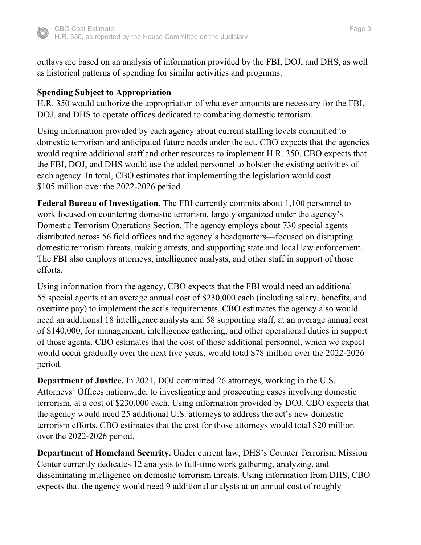

outlays are based on an analysis of information provided by the FBI, DOJ, and DHS, as well as historical patterns of spending for similar activities and programs.

### **Spending Subject to Appropriation**

H.R. 350 would authorize the appropriation of whatever amounts are necessary for the FBI, DOJ, and DHS to operate offices dedicated to combating domestic terrorism.

Using information provided by each agency about current staffing levels committed to domestic terrorism and anticipated future needs under the act, CBO expects that the agencies would require additional staff and other resources to implement H.R. 350. CBO expects that the FBI, DOJ, and DHS would use the added personnel to bolster the existing activities of each agency. In total, CBO estimates that implementing the legislation would cost \$105 million over the 2022-2026 period.

**Federal Bureau of Investigation.** The FBI currently commits about 1,100 personnel to work focused on countering domestic terrorism, largely organized under the agency's Domestic Terrorism Operations Section. The agency employs about 730 special agents distributed across 56 field offices and the agency's headquarters—focused on disrupting domestic terrorism threats, making arrests, and supporting state and local law enforcement. The FBI also employs attorneys, intelligence analysts, and other staff in support of those efforts.

Using information from the agency, CBO expects that the FBI would need an additional 55 special agents at an average annual cost of \$230,000 each (including salary, benefits, and overtime pay) to implement the act's requirements. CBO estimates the agency also would need an additional 18 intelligence analysts and 58 supporting staff, at an average annual cost of \$140,000, for management, intelligence gathering, and other operational duties in support of those agents. CBO estimates that the cost of those additional personnel, which we expect would occur gradually over the next five years, would total \$78 million over the 2022-2026 period.

**Department of Justice.** In 2021, DOJ committed 26 attorneys, working in the U.S. Attorneys' Offices nationwide, to investigating and prosecuting cases involving domestic terrorism, at a cost of \$230,000 each. Using information provided by DOJ, CBO expects that the agency would need 25 additional U.S. attorneys to address the act's new domestic terrorism efforts. CBO estimates that the cost for those attorneys would total \$20 million over the 2022-2026 period.

**Department of Homeland Security.** Under current law, DHS's Counter Terrorism Mission Center currently dedicates 12 analysts to full-time work gathering, analyzing, and disseminating intelligence on domestic terrorism threats. Using information from DHS, CBO expects that the agency would need 9 additional analysts at an annual cost of roughly